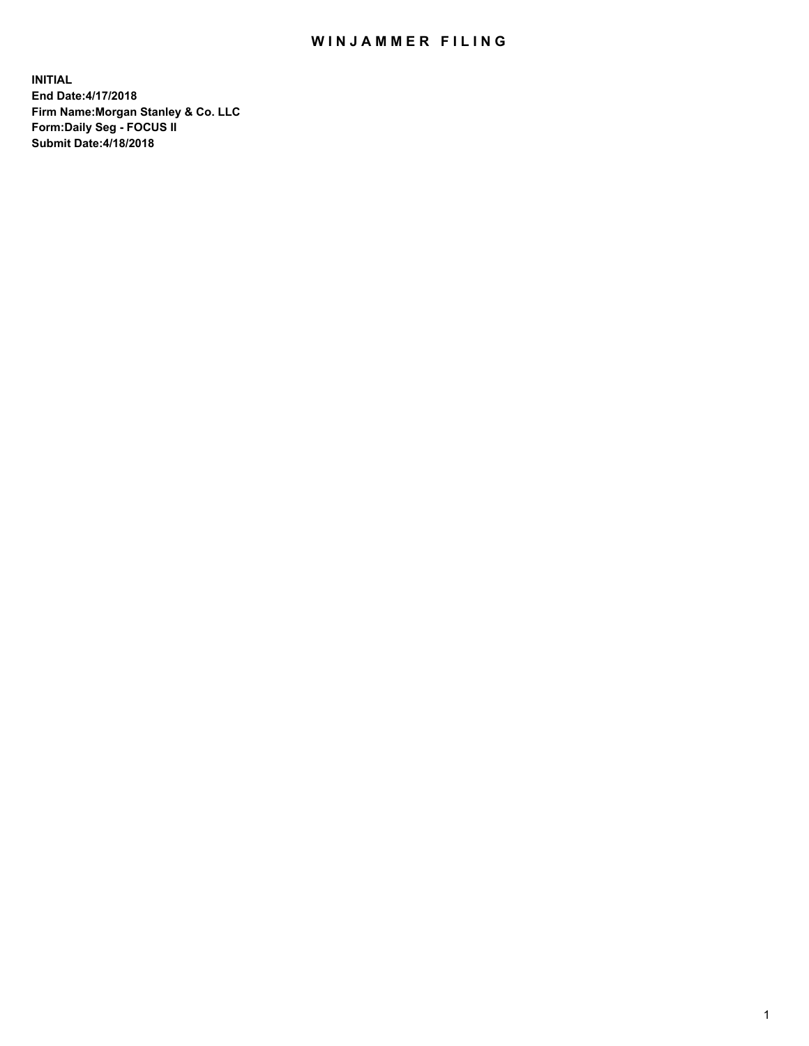# WIN JAMMER FILING

**INITIAL End Date:4/17/2018 Firm Name:Morgan Stanley & Co. LLC Form:Daily Seg - FOCUS II Submit Date:4/18/2018**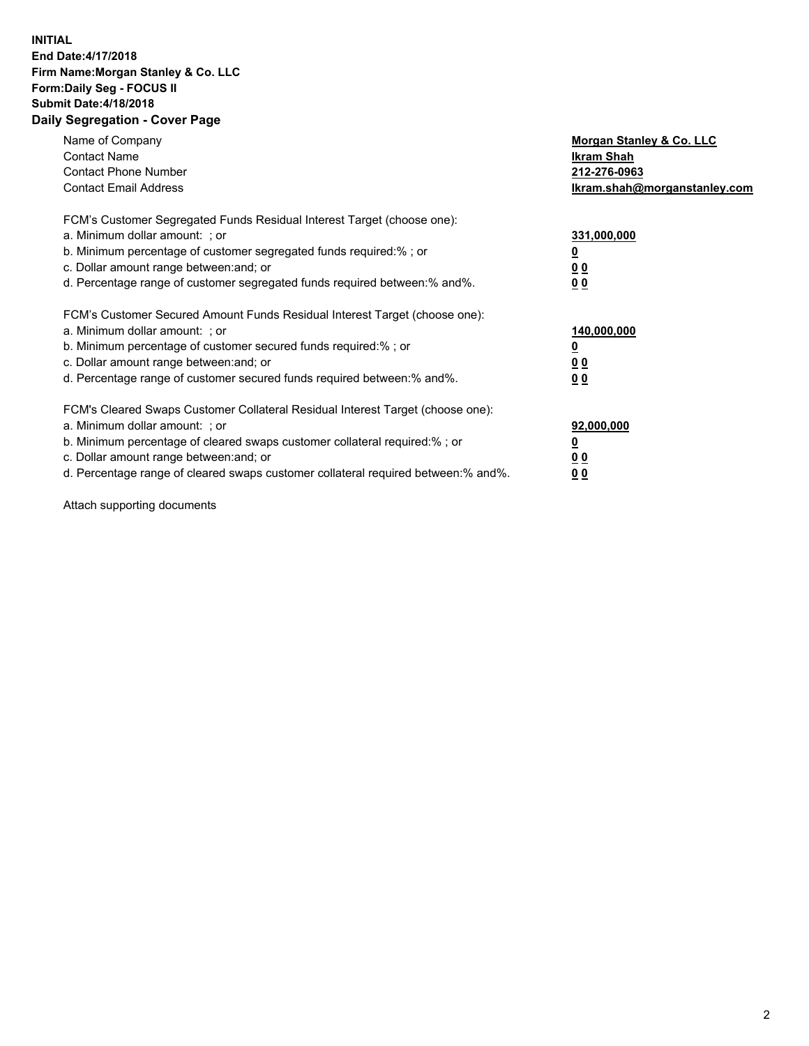# **INITIAL End Date:4/17/2018 Firm Name:Morgan Stanley & Co. LLC Form:Daily Seg - FOCUS II Submit Date:4/18/2018 Daily Segregation - Cover Page**

| Name of Company<br><b>Contact Name</b><br><b>Contact Phone Number</b><br><b>Contact Email Address</b>                                                                                                                                                                                                                          | Morgan Stanley & Co. LLC<br>Ikram Shah<br>212-276-0963<br>lkram.shah@morganstanley.com |
|--------------------------------------------------------------------------------------------------------------------------------------------------------------------------------------------------------------------------------------------------------------------------------------------------------------------------------|----------------------------------------------------------------------------------------|
| FCM's Customer Segregated Funds Residual Interest Target (choose one):<br>a. Minimum dollar amount: ; or<br>b. Minimum percentage of customer segregated funds required:%; or<br>c. Dollar amount range between: and; or<br>d. Percentage range of customer segregated funds required between: % and %.                        | 331,000,000<br>0 <sub>0</sub><br>00                                                    |
| FCM's Customer Secured Amount Funds Residual Interest Target (choose one):<br>a. Minimum dollar amount: ; or<br>b. Minimum percentage of customer secured funds required:%; or<br>c. Dollar amount range between: and; or<br>d. Percentage range of customer secured funds required between:% and%.                            | 140,000,000<br>0 <sub>0</sub><br>0 <sub>0</sub>                                        |
| FCM's Cleared Swaps Customer Collateral Residual Interest Target (choose one):<br>a. Minimum dollar amount: ; or<br>b. Minimum percentage of cleared swaps customer collateral required:% ; or<br>c. Dollar amount range between: and; or<br>d. Percentage range of cleared swaps customer collateral required between:% and%. | 92,000,000<br>0 <sub>0</sub><br>0 <sub>0</sub>                                         |

Attach supporting documents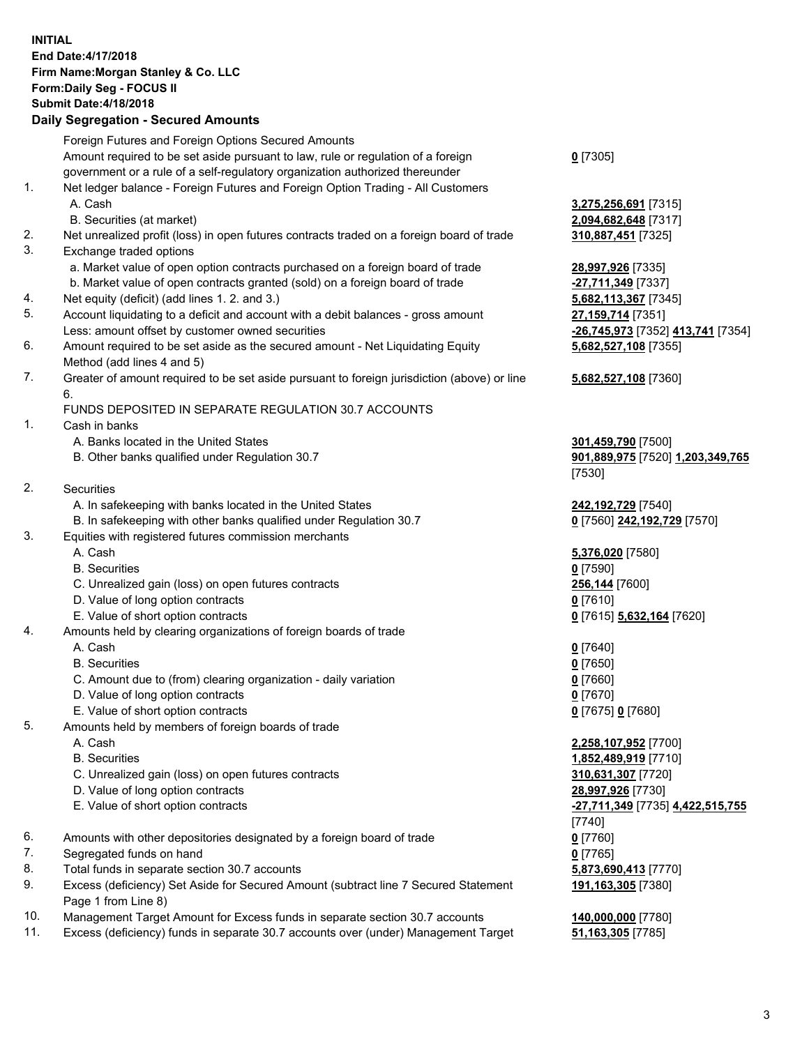### **INITIAL End Date:4/17/2018 Firm Name:Morgan Stanley & Co. LLC Form:Daily Seg - FOCUS II Submit Date:4/18/2018 Daily Segregation - Secured Amounts**

Foreign Futures and Foreign Options Secured Amounts Amount required to be set aside pursuant to law, rule or regulation of a foreign government or a rule of a self-regulatory organization authorized thereunder 1. Net ledger balance - Foreign Futures and Foreign Option Trading - All Customers A. Cash **3,275,256,691** [7315] B. Securities (at market) **2,094,682,648** [7317]

- 2. Net unrealized profit (loss) in open futures contracts traded on a foreign board of trade **310,887,451** [7325]
- 3. Exchange traded options
	- a. Market value of open option contracts purchased on a foreign board of trade **28,997,926** [7335]
	- b. Market value of open contracts granted (sold) on a foreign board of trade **-27,711,349** [7337]
- 4. Net equity (deficit) (add lines 1. 2. and 3.) **5,682,113,367** [7345]
- 5. Account liquidating to a deficit and account with a debit balances gross amount **27,159,714** [7351] Less: amount offset by customer owned securities **-26,745,973** [7352] **413,741** [7354]
- 6. Amount required to be set aside as the secured amount Net Liquidating Equity Method (add lines 4 and 5)
- 7. Greater of amount required to be set aside pursuant to foreign jurisdiction (above) or line 6.

# FUNDS DEPOSITED IN SEPARATE REGULATION 30.7 ACCOUNTS

1. Cash in banks

- A. Banks located in the United States **301,459,790** [7500]
- B. Other banks qualified under Regulation 30.7 **901,889,975** [7520] **1,203,349,765**
- 2. Securities
	- A. In safekeeping with banks located in the United States **242,192,729** [7540]
- B. In safekeeping with other banks qualified under Regulation 30.7 **0** [7560] **242,192,729** [7570]
- 3. Equities with registered futures commission merchants
	-
	-
	- C. Unrealized gain (loss) on open futures contracts **256,144** [7600]
	- D. Value of long option contracts **0** [7610]
	- E. Value of short option contracts **0** [7615] **5,632,164** [7620]
- 4. Amounts held by clearing organizations of foreign boards of trade

- 
- C. Amount due to (from) clearing organization daily variation **0** [7660]
- D. Value of long option contracts **0** [7670]
- E. Value of short option contracts **0** [7675] **0** [7680]
- 5. Amounts held by members of foreign boards of trade
	-
	-
	- C. Unrealized gain (loss) on open futures contracts **310,631,307** [7720]
	- D. Value of long option contracts **28,997,926** [7730]
	-
- 6. Amounts with other depositories designated by a foreign board of trade **0** [7760]
- 7. Segregated funds on hand **0** [7765]
- 8. Total funds in separate section 30.7 accounts **5,873,690,413** [7770]
- 9. Excess (deficiency) Set Aside for Secured Amount (subtract line 7 Secured Statement Page 1 from Line 8)
- 10. Management Target Amount for Excess funds in separate section 30.7 accounts **140,000,000** [7780]
- 11. Excess (deficiency) funds in separate 30.7 accounts over (under) Management Target **51,163,305** [7785]

**0** [7305]

**5,682,527,108** [7355]

### **5,682,527,108** [7360]

[7530]

 A. Cash **5,376,020** [7580] B. Securities **0** [7590]

 A. Cash **0** [7640] B. Securities **0** [7650]

 A. Cash **2,258,107,952** [7700] B. Securities **1,852,489,919** [7710] E. Value of short option contracts **-27,711,349** [7735] **4,422,515,755** [7740] **191,163,305** [7380]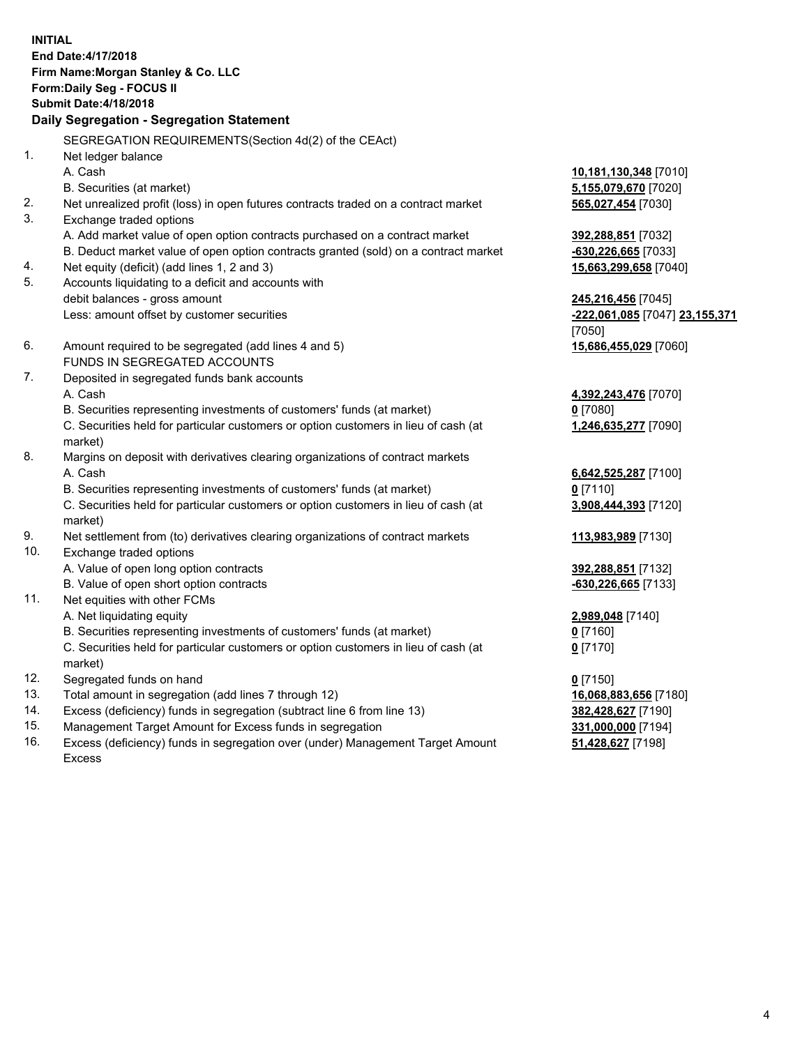**INITIAL End Date:4/17/2018 Firm Name:Morgan Stanley & Co. LLC Form:Daily Seg - FOCUS II Submit Date:4/18/2018 Daily Segregation - Segregation Statement** SEGREGATION REQUIREMENTS(Section 4d(2) of the CEAct) 1. Net ledger balance A. Cash **10,181,130,348** [7010] B. Securities (at market) **5,155,079,670** [7020] 2. Net unrealized profit (loss) in open futures contracts traded on a contract market **565,027,454** [7030] 3. Exchange traded options A. Add market value of open option contracts purchased on a contract market **392,288,851** [7032] B. Deduct market value of open option contracts granted (sold) on a contract market **-630,226,665** [7033] 4. Net equity (deficit) (add lines 1, 2 and 3) **15,663,299,658** [7040] 5. Accounts liquidating to a deficit and accounts with debit balances - gross amount **245,216,456** [7045] Less: amount offset by customer securities **-222,061,085** [7047] **23,155,371** [7050] 6. Amount required to be segregated (add lines 4 and 5) **15,686,455,029** [7060] FUNDS IN SEGREGATED ACCOUNTS 7. Deposited in segregated funds bank accounts A. Cash **4,392,243,476** [7070] B. Securities representing investments of customers' funds (at market) **0** [7080] C. Securities held for particular customers or option customers in lieu of cash (at market) **1,246,635,277** [7090] 8. Margins on deposit with derivatives clearing organizations of contract markets A. Cash **6,642,525,287** [7100] B. Securities representing investments of customers' funds (at market) **0** [7110] C. Securities held for particular customers or option customers in lieu of cash (at market) **3,908,444,393** [7120] 9. Net settlement from (to) derivatives clearing organizations of contract markets **113,983,989** [7130] 10. Exchange traded options A. Value of open long option contracts **392,288,851** [7132] B. Value of open short option contracts **-630,226,665** [7133] 11. Net equities with other FCMs A. Net liquidating equity **2,989,048** [7140] B. Securities representing investments of customers' funds (at market) **0** [7160] C. Securities held for particular customers or option customers in lieu of cash (at market) **0** [7170] 12. Segregated funds on hand **0** [7150] 13. Total amount in segregation (add lines 7 through 12) **16,068,883,656** [7180] 14. Excess (deficiency) funds in segregation (subtract line 6 from line 13) **382,428,627** [7190]

- 15. Management Target Amount for Excess funds in segregation **331,000,000** [7194]
- 16. Excess (deficiency) funds in segregation over (under) Management Target Amount Excess

**51,428,627** [7198]